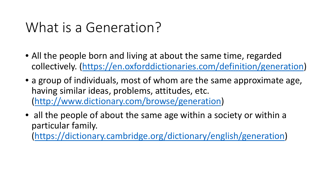#### What is a Generation?

- All the people born and living at about the same time, regarded collectively. [\(https://en.oxforddictionaries.com/definition/generation\)](https://en.oxforddictionaries.com/definition/generation)
- a group of individuals, most of whom are the same approximate age, having similar ideas, problems, attitudes, etc. ([http://www.dictionary.com/browse/generation\)](http://www.dictionary.com/browse/generation)
- all the people of about the same age within a society or within a particular family.

(<https://dictionary.cambridge.org/dictionary/english/generation>)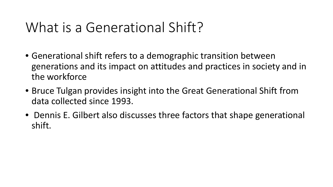#### What is a Generational Shift?

- Generational shift refers to a demographic transition between generations and its impact on attitudes and practices in society and in the workforce
- Bruce Tulgan provides insight into the Great Generational Shift from data collected since 1993.
- Dennis E. Gilbert also discusses three factors that shape generational shift.1954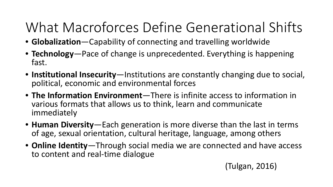# What Macroforces Define Generational Shifts

- **Globalization**—Capability of connecting and travelling worldwide
- **Technology**—Pace of change is unprecedented. Everything is happening fast.
- **Institutional Insecurity**—Institutions are constantly changing due to social, political, economic and environmental forces
- **The Information Environment**—There is infinite access to information in various formats that allows us to think, learn and communicate immediately
- **Human Diversity**—Each generation is more diverse than the last in terms of age, sexual orientation, cultural heritage, language, among others
- **Online Identity**—Through social media we are connected and have access to content and real-time dialogue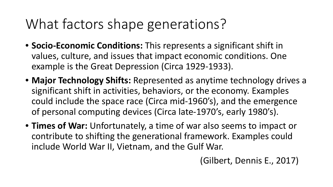# What factors shape generations?

- **Socio-Economic Conditions:** This represents a significant shift in values, culture, and issues that impact economic conditions. One example is the Great Depression (Circa 1929-1933).
- **Major Technology Shifts:** Represented as anytime technology drives a significant shift in activities, behaviors, or the economy. Examples could include the space race (Circa mid-1960's), and the emergence of personal computing devices (Circa late-1970's, early 1980's).
- **Times of War:** Unfortunately, a time of war also seems to impact or contribute to shifting the generational framework. Examples could include World War II, Vietnam, and the Gulf War.

(Gilbert, Dennis E., 2017)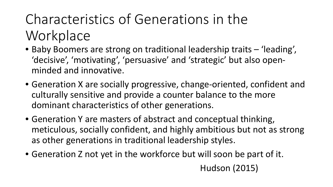# Characteristics of Generations in the **Workplace**

- Baby Boomers are strong on traditional leadership traits 'leading', 'decisive', 'motivating', 'persuasive' and 'strategic' but also openminded and innovative.
- Generation X are socially progressive, change-oriented, confident and culturally sensitive and provide a counter balance to the more dominant characteristics of other generations.
- Generation Y are masters of abstract and conceptual thinking, meticulous, socially confident, and highly ambitious but not as strong as other generations in traditional leadership styles.
- Generation Z not yet in the workforce but will soon be part of it. Hudson (2015)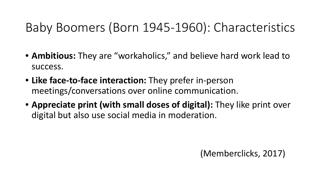#### Baby Boomers (Born 1945-1960): Characteristics

- **Ambitious:** They are "workaholics," and believe hard work lead to success.
- **Like face-to-face interaction:** They prefer in-person meetings/conversations over online communication.
- **Appreciate print (with small doses of digital):** They like print over digital but also use social media in moderation.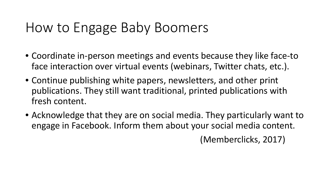#### How to Engage Baby Boomers

- Coordinate in-person meetings and events because they like face-to face interaction over virtual events (webinars, Twitter chats, etc.).
- Continue publishing white papers, newsletters, and other print publications. They still want traditional, printed publications with fresh content.
- Acknowledge that they are on social media. They particularly want to engage in Facebook. Inform them about your social media content.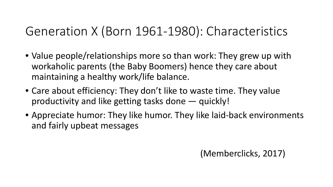#### Generation X (Born 1961-1980): Characteristics

- Value people/relationships more so than work: They grew up with workaholic parents (the Baby Boomers) hence they care about maintaining a healthy work/life balance.
- Care about efficiency: They don't like to waste time. They value productivity and like getting tasks done — quickly!
- Appreciate humor: They like humor. They like laid-back environments and fairly upbeat messages 1954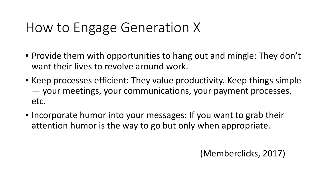#### How to Engage Generation X

- Provide them with opportunities to hang out and mingle: They don't want their lives to revolve around work.
- Keep processes efficient: They value productivity. Keep things simple — your meetings, your communications, your payment processes, etc.
- Incorporate humor into your messages: If you want to grab their attention humor is the way to go but only when appropriate.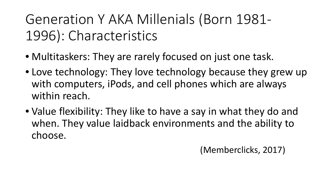# Generation Y AKA Millenials (Born 1981- 1996): Characteristics

- Multitaskers: They are rarely focused on just one task.
- Love technology: They love technology because they grew up with computers, iPods, and cell phones which are always within reach.
- Value flexibility: They like to have a say in what they do and when. They value laidback environments and the ability to choose.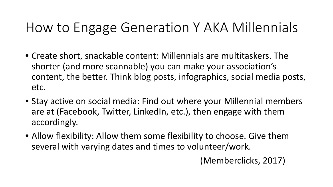#### How to Engage Generation Y AKA Millennials

- Create short, snackable content: Millennials are multitaskers. The shorter (and more scannable) you can make your association's content, the better. Think blog posts, infographics, social media posts, etc.
- Stay active on social media: Find out where your Millennial members are at (Facebook, Twitter, LinkedIn, etc.), then engage with them accordingly.
- Allow flexibility: Allow them some flexibility to choose. Give them several with varying dates and times to volunteer/work.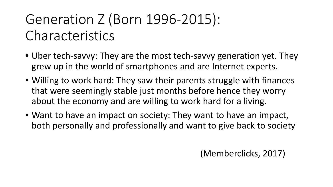# Generation Z (Born 1996-2015): Characteristics

- Uber tech-savvy: They are the most tech-savvy generation yet. They grew up in the world of smartphones and are Internet experts.
- Willing to work hard: They saw their parents struggle with finances that were seemingly stable just months before hence they worry about the economy and are willing to work hard for a living.
- Want to have an impact on society: They want to have an impact, both personally and professionally and want to give back to society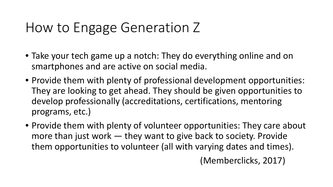#### How to Engage Generation Z

- Take your tech game up a notch: They do everything online and on smartphones and are active on social media.
- Provide them with plenty of professional development opportunities: They are looking to get ahead. They should be given opportunities to develop professionally (accreditations, certifications, mentoring programs, etc.)
- Provide them with plenty of volunteer opportunities: They care about more than just work — they want to give back to society. Provide them opportunities to volunteer (all with varying dates and times).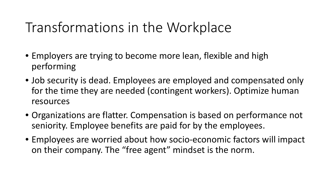#### Transformations in the Workplace

- Employers are trying to become more lean, flexible and high performing
- Job security is dead. Employees are employed and compensated only for the time they are needed (contingent workers). Optimize human resources
- Organizations are flatter. Compensation is based on performance not seniority. Employee benefits are paid for by the employees.
- Employees are worried about how socio-economic factors will impact on their company. The "free agent" mindset is the norm.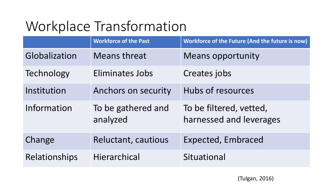|                      | <b>Workforce of the Past</b>   | Workforce of the Future (And the future is now)    |
|----------------------|--------------------------------|----------------------------------------------------|
| Globalization        | <b>Means threat</b>            | <b>Means opportunity</b>                           |
| Technology           | <b>Eliminates Jobs</b>         | Creates jobs                                       |
| Institution          | Anchors on security            | Hubs of resources                                  |
| Information          | To be gathered and<br>analyzed | To be filtered, vetted,<br>harnessed and leverages |
| Change               | Reluctant, cautious            | <b>Expected, Embraced</b>                          |
| <b>Relationships</b> | Hierarchical                   | Situational                                        |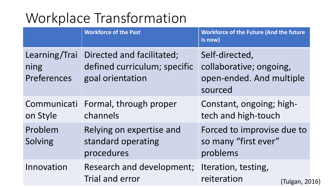|                                      | <b>Workforce of the Past</b>                                                  | <b>Workforce of the Future (And the future</b><br>is now)                        |  |  |
|--------------------------------------|-------------------------------------------------------------------------------|----------------------------------------------------------------------------------|--|--|
| Learning/Trai<br>ning<br>Preferences | Directed and facilitated;<br>defined curriculum; specific<br>goal orientation | Self-directed,<br>collaborative; ongoing,<br>open-ended. And multiple<br>sourced |  |  |
| Communicati<br>on Style              | Formal, through proper<br>channels                                            | Constant, ongoing; high-<br>tech and high-touch                                  |  |  |
| Problem<br>Solving                   | Relying on expertise and<br>standard operating<br>procedures                  | Forced to improvise due to<br>so many "first ever"<br>problems                   |  |  |
| Innovation                           | Research and development;<br>Trial and error                                  | Iteration, testing,<br>reiteration<br>(Tulgan, 2016)                             |  |  |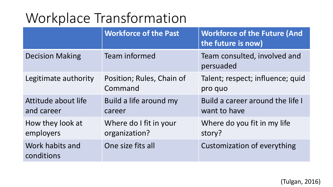|                                   | <b>Workforce of the Past</b>            | <b>Workforce of the Future (And</b><br>the future is now) |  |  |
|-----------------------------------|-----------------------------------------|-----------------------------------------------------------|--|--|
| <b>Decision Making</b>            | Team informed                           | Team consulted, involved and<br>persuaded                 |  |  |
| Legitimate authority              | Position; Rules, Chain of<br>Command    | Talent; respect; influence; quid<br>pro quo               |  |  |
| Attitude about life<br>and career | Build a life around my<br>career        | Build a career around the life I<br>want to have          |  |  |
| How they look at<br>employers     | Where do I fit in your<br>organization? | Where do you fit in my life<br>story?                     |  |  |
| Work habits and<br>conditions     | One size fits all                       | <b>Customization of everything</b>                        |  |  |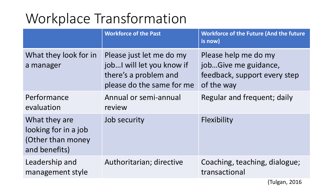|                                                                             | <b>Workforce of the Past</b>                                                                                   | <b>Workforce of the Future (And the future</b><br>is now)                                  |
|-----------------------------------------------------------------------------|----------------------------------------------------------------------------------------------------------------|--------------------------------------------------------------------------------------------|
| What they look for in<br>a manager                                          | Please just let me do my<br>job I will let you know if<br>there's a problem and<br>please do the same for mean | Please help me do my<br>jobGive me guidance,<br>feedback, support every step<br>of the way |
| Performance<br>evaluation                                                   | Annual or semi-annual<br>review                                                                                | Regular and frequent; daily                                                                |
| What they are<br>looking for in a job<br>(Other than money<br>and benefits) | Job security<br>1954                                                                                           | Flexibility                                                                                |
| Leadership and<br>management style                                          | Authoritarian; directive                                                                                       | Coaching, teaching, dialogue;<br>transactional                                             |

(Tulgan, 2016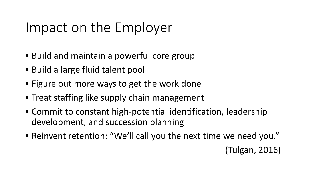#### Impact on the Employer

- Build and maintain a powerful core group
- Build a large fluid talent pool
- Figure out more ways to get the work done
- Treat staffing like supply chain management
- Commit to constant high-potential identification, leadership development, and succession planning
- Reinvent retention: "We'll call you the next time we need you."

(Tulgan, 2016)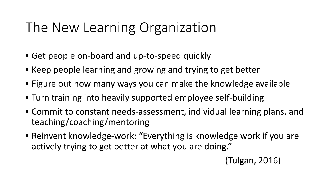### The New Learning Organization

- Get people on-board and up-to-speed quickly
- Keep people learning and growing and trying to get better
- Figure out how many ways you can make the knowledge available
- Turn training into heavily supported employee self-building
- Commit to constant needs-assessment, individual learning plans, and teaching/coaching/mentoring
- Reinvent knowledge-work: "Everything is knowledge work if you are actively trying to get better at what you are doing."

(Tulgan, 2016)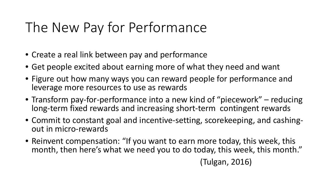### The New Pay for Performance

- Create a real link between pay and performance
- Get people excited about earning more of what they need and want
- Figure out how many ways you can reward people for performance and leverage more resources to use as rewards
- Transform pay-for-performance into a new kind of "piecework" reducing long-term fixed rewards and increasing short-term contingent rewards
- Commit to constant goal and incentive-setting, scorekeeping, and cashing- out in micro-rewards
- Reinvent compensation: "If you want to earn more today, this week, this month, then here's what we need you to do today, this week, this month." (Tulgan, 2016)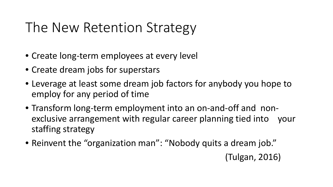#### The New Retention Strategy

- Create long-term employees at every level
- Create dream jobs for superstars
- Leverage at least some dream job factors for anybody you hope to employ for any period of time
- Transform long-term employment into an on-and-off and nonexclusive arrangement with regular career planning tied into your staffing strategy
- Reinvent the "organization man": "Nobody quits a dream job."

(Tulgan, 2016)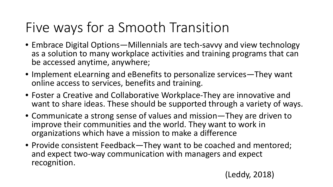### Five ways for a Smooth Transition

- Embrace Digital Options—Millennials are tech-savvy and view technology as a solution to many workplace activities and training programs that can be accessed anytime, anywhere;
- Implement eLearning and eBenefits to personalize services—They want online access to services, benefits and training.
- Foster a Creative and Collaborative Workplace-They are innovative and want to share ideas. These should be supported through a variety of ways.
- Communicate a strong sense of values and mission—They are driven to improve their communities and the world. They want to work in organizations which have a mission to make a difference
- Provide consistent Feedback—They want to be coached and mentored; and expect two-way communication with managers and expect recognition.

(Leddy, 2018)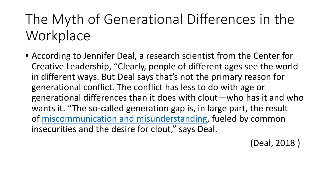# The Myth of Generational Differences in the **Workplace**

• According to Jennifer Deal, a research scientist from the Center for Creative Leadership, "Clearly, people of different ages see the world in different ways. But Deal says that's not the primary reason for generational conflict. The conflict has less to do with age or generational differences than it does with clout—who has it and who wants it. "The so-called generation gap is, in large part, the result of [miscommunication and misunderstanding](http://www.amanet.org/training/seminars/lxl-express/How-to-Flex-Your-Communication-Style.aspx), fueled by common insecurities and the desire for clout," says Deal.

(Deal, 2018 )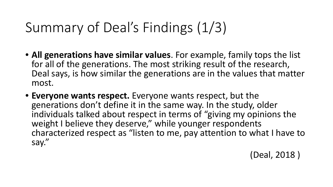# Summary of Deal's Findings (1/3)

- **All generations have similar values**. For example, family tops the list for all of the generations. The most striking result of the research, Deal says, is how similar the generations are in the values that matter most.
- **Everyone wants respect.** Everyone wants respect, but the generations don't define it in the same way. In the study, older individuals talked about respect in terms of "giving my opinions the weight I believe they deserve," while younger respondents characterized respect as "listen to me, pay attention to what I have to say."

(Deal, 2018 )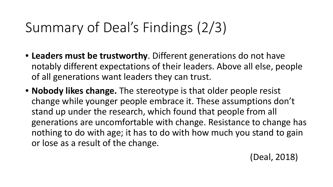# Summary of Deal's Findings (2/3)

- **Leaders must be trustworthy**. Different generations do not have notably different expectations of their leaders. Above all else, people of all generations want leaders they can trust.
- **Nobody likes change.** The stereotype is that older people resist change while younger people embrace it. These assumptions don't stand up under the research, which found that people from all generations are uncomfortable with change. Resistance to change has nothing to do with age; it has to do with how much you stand to gain or lose as a result of the change.

(Deal, 2018)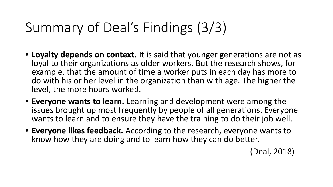# Summary of Deal's Findings (3/3)

- Loyalty depends on context. It is said that younger generations are not as loyal to their organizations as older workers. But the research shows, for example, that the amount of time a worker puts in each day has more to do with his or her level in the organization than with age. The higher the level, the more hours worked.
- **Everyone wants to learn.** Learning and development were among the issues brought up most frequently by people of all generations. Everyone wants to learn and to ensure they have the training to do their job well.
- **Everyone likes feedback.** According to the research, everyone wants to know how they are doing and to learn how they can do better.

(Deal, 2018)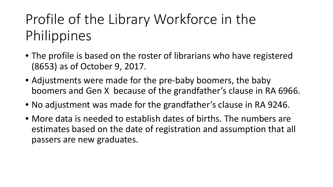# Profile of the Library Workforce in the Philippines

- The profile is based on the roster of librarians who have registered (8653) as of October 9, 2017.
- Adjustments were made for the pre-baby boomers, the baby boomers and Gen X because of the grandfather's clause in RA 6966.
- No adjustment was made for the grandfather's clause in RA 9246.
- More data is needed to establish dates of births. The numbers are estimates based on the date of registration and assumption that all passers are new graduates.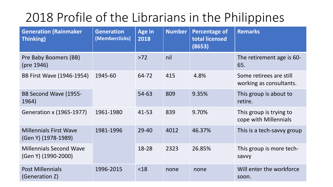#### 2018 Profile of the Librarians in the Philippines

| <b>Generation (Rainmaker</b><br><b>Thinking)</b>      | <b>Generation</b><br>(Memberclicks) | <b>Age in</b><br>2018 | <b>Number</b> | <b>Percentage of</b><br>total licensed<br>(8653) | <b>Remarks</b>                                     |
|-------------------------------------------------------|-------------------------------------|-----------------------|---------------|--------------------------------------------------|----------------------------------------------------|
| Pre Baby Boomers (BB)<br>(pre 1946)                   |                                     | $>72$                 | nil           |                                                  | The retirement age is 60-<br>65.                   |
| BB First Wave (1946-1954)                             | 1945-60                             | 64-72                 | 415           | 4.8%                                             | Some retirees are still<br>working as consultants. |
| BB Second Wave (1955-<br>1964)                        |                                     | 54-63                 | 809           | 9.35%                                            | This group is about to<br>retire.                  |
| <b>Generation x (1965-1977)</b>                       | 1961-1980                           | $41 - 53$             | 839           | 9.70%                                            | This group is trying to<br>cope with Millennials   |
| <b>Millennials First Wave</b><br>(Gen Y) (1978-1989)  | 1981-1996                           | $29 - 40$             | 4012          | 46.37%                                           | This is a tech-savvy group                         |
| <b>Millennials Second Wave</b><br>(Gen Y) (1990-2000) |                                     | 18-28                 | 2323          | 26.85%                                           | This group is more tech-<br>savvy                  |
| <b>Post Millennials</b><br>(Generation Z)             | 1996-2015                           | $<$ 18                | none          | none                                             | Will enter the workforce<br>soon.                  |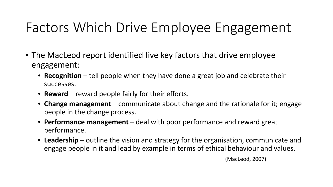### Factors Which Drive Employee Engagement

- The MacLeod report identified five key factors that drive employee engagement:
	- **Recognition** tell people when they have done a great job and celebrate their successes. ASSOCIATION OF SPECIAL **LIBRARIES**
	- **Reward** reward people fairly for their efforts.
	- **Change management** communicate about change and the rationale for it; engage people in the change process.
	- **Performance management** deal with poor performance and reward great performance.
	- **Leadership** outline the vision and strategy for the organisation, communicate and engage people in it and lead by example in terms of ethical behaviour and values.

(MacLeod, 2007)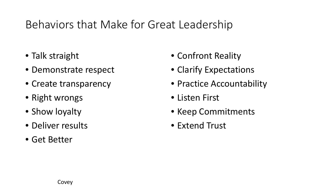#### Behaviors that Make for Great Leadership

- Talk straight
- Demonstrate respect
- Create transparency
- Right wrongs
- Show loyalty
- Deliver results
- Get Better

• Confront Reality • Clarify Expectations **• Practice Accountability** • Listen First • Keep Commitments **• Extend Trust**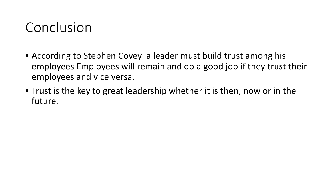#### Conclusion

- According to Stephen Covey a leader must build trust among his employees Employees will remain and do a good job if they trust their employees and vice versa.
- Trust is the key to great leadership whether it is then, now or in the future.

195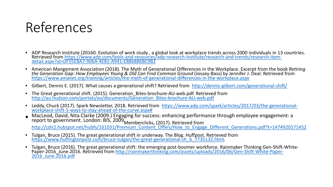#### References

- ADP Research Institute (20160. Evolution of work study, a global look at workplace trends across 2000 individuals in 13 countries. Retrieved from <u>[https://www.adp.com/tools-and-resources/adp-research-institute/research-and-trends/research-item-](https://www.adp.com/tools-and-resources/adp-research-institute/research-and-trends/research-item-detail.aspx?id=DF55E8A7-906A-4E81-A941-E886886BC9B2)</u><br><u>[detail.aspx?id=DF55E8A7-906A-4E81-A941-E886886BC9B2](https://www.adp.com/tools-and-resources/adp-research-institute/research-and-trends/research-item-detail.aspx?id=DF55E8A7-906A-4E81-A941-E886886BC9B2)</u>
- American Mangement Association (2018). The Myth of Generational Differences in the Workplace. Excerpt from the book Retiring<br>the Generation Gap: How Employees Young & Old Can Find Common Ground [\(Jossey-Bass\) by Jennifer J.](https://www.amanet.org/training/articles/the-myth-of-generational-differences-in-the-workplace.aspx)
- Gilbert, Dennis E. (2017). What causes a generational shift? Retrieved from <http://dennis-gilbert.com/generational-shift/>
- [The Great generational shift. \(2015\). Generation\\_Bites-brochure-AU-web.pdf. Retrieved](http://au.hudson.com/portals/au/documents/Generation_Bites-brochure-AU-web.pdf) from [http://au.hudson.com/portals/au/documents/Generation\\_Bites-brochure-AU-web.pdf](http://au.hudson.com/portals/au/documents/Generation_Bites-brochure-AU-web.pdf)
- Leddy, Chuck (2017). Spark Newsletter, 2018. Retrieved from [https://www.adp.com/spark/articles/2017/03/the-generational-](https://www.adp.com/spark/articles/2017/03/the-generational-workplace-shift-5-ways-to-stay-ahead-of-the-curve.aspx)<br>[workplace-shift-5-ways-to-stay-ahead-of-the-curve.aspx#](https://www.adp.com/spark/articles/2017/03/the-generational-workplace-shift-5-ways-to-stay-ahead-of-the-curve.aspx)
- MacLeod, David, Nita Clarke (2009.) Engaging for success: enhancing performance through employee engagement: a report to government. London: BIS, 2009<br>http://cdn2.hubspot.net/hubfs/161031/Premium\_Content\_Offers/How\_to\_Engage\_Different\_Generations.pdf?t=1474920171452<br>http://cdn2.hubspot.net/hubfs/161031/Premium\_Content\_Offers/How\_to
- Tulgan, Bruce (2015). The great generational shift in underway. The Blog. Huffpost. Retrieved from [https://www.huffingtonpost.com/bruce-tulgan/the-great-generational-sh\\_b\\_7735132.html](https://www.huffingtonpost.com/bruce-tulgan/the-great-generational-sh_b_7735132.html).
- Tulgan, Bruce (2016). The great generational shift: the emerging post-boomer workforce. Rainmaker Thinking Gen-Shift-White-<br>Paper-2016\_June.2016. Retrieved from http://rainmakerthinking.com/assets/uploads/2016/06/Gen-Shi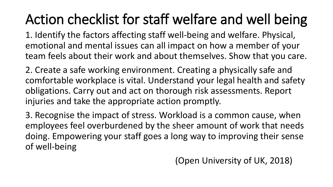# Action checklist for staff welfare and well being

 1. Identify the factors affecting staff well-being and welfare. Physical, emotional and mental issues can all impact on how a member of your team feels about their work and about themselves. Show that you care.

2. Create a safe working environment. Creating a physically safe and comfortable workplace is vital. Understand your legal health and safety obligations. Carry out and act on thorough risk assessments. Report injuries and take the appropriate action promptly.

3. Recognise the impact of stress. Workload is a common cause, when employees feel overburdened by the sheer amount of work that needs doing. Empowering your staff goes a long way to improving their sense of well-being

(Open University of UK, 2018)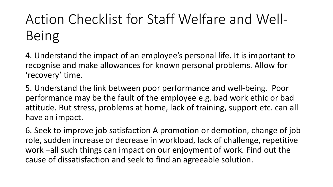4. Understand the impact of an employee's personal life. It is important to recognise and make allowances for known personal problems. Allow for 'recovery' time.

5. Understand the link between poor performance and well-being. Poor performance may be the fault of the employee e.g. bad work ethic or bad attitude. But stress, problems at home, lack of training, support etc. can all have an impact.

6. Seek to improve job satisfaction A promotion or demotion, change of job role, sudden increase or decrease in workload, lack of challenge, repetitive work –all such things can impact on our enjoyment of work. Find out the cause of dissatisfaction and seek to find an agreeable solution.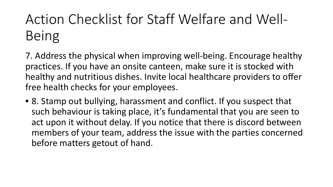7. Address the physical when improving well-being. Encourage healthy practices. If you have an onsite canteen, make sure it is stocked with healthy and nutritious dishes. Invite local healthcare providers to offer free health checks for your employees.

• 8. Stamp out bullying, harassment and conflict. If you suspect that such behaviour is taking place, it's fundamental that you are seen to act upon it without delay. If you notice that there is discord between members of your team, address the issue with the parties concerned before matters getout of hand.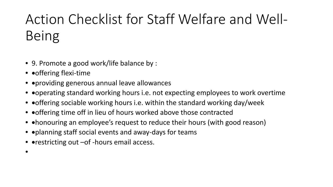- 9. Promote a good work/life balance by :
- • offering flexi-time

•

- • providing generous annual leave allowances
- • operating standard working hours i.e. not expecting employees to work overtime
- • offering sociable working hours i.e. within the standard working day/week
- • offering time off in lieu of hours worked above those contracted
- • honouring an employee's request to reduce their hours (with good reason)
- • planning staff social events and away-days for teams
- • restricting out -of -hours email access.